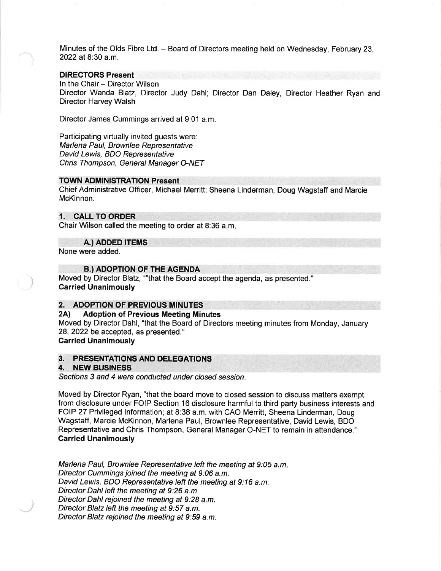Minutes of the Olds Fibre Ltd. - Board of Directors meeting held on Wednesday, February 23, 2022 at 8:30 a.m.

## DIRECTORS Present

In the Chair - Director Wilson Director Wanda Blatz, Director Judy Dahl; Director Dan Daley, Director Heather Ryan and Director Harvey Walsh

Director James Cummings arrived at 9:01 a.m

Participating virtually invited guests were: Marlena Paul, Brownlee Representative David Lewis, BDO Representative Chris Thompson, General Manager O-NET

### TOWN ADMINISTRATION Present

Chief Administrative Officer, Michael Merritt; Sheena Linderman, Doug Wagstaff and Marcie McKinnon.

# 1. CALL TO ORDER

Chair Wilson called the meeting to order at 8:36 a.m

A.) ADDED ITEMS

None were added.

**B.) ADOPTION OF THE AGENDA** 

Moved by Director Blatz, ""that the Board accept the agenda, as presented." Carried Unanimously

# 2. ADOPTION OF PREVIOUS MINUTES<br>2A) Adoption of Previous Meeting Mir

#### **Adoption of Previous Meeting Minutes**

Moved by Director Dahl, "that the Board of Directors meeting minutes from Monday, January 28,2022 be accepted, as presented."

# Carried Unanimously

# 3. PRESENTATIONS AND DELEGATIONS 4. NEW BUSINESS

Sections 3 and 4 were conducted under closed session.

Moved by Director Ryan, "that the board move to closed session to discuss matters exempt from disclosure under FOIP Section 16 disclosure harmful to third party business interests and FOIP 27 Privileged lnformation; at 8:38 a.m. with CAO Merritt, Sheena Linderman, Doug Wagstaff, Marcie McKinnon, Marlena Paul, Brownlee Representative, David Lewis, BDO Representative and Chris Thompson, General Manager O-NET to remain in attendance." Carried Unanimously

Marlena Paul, Brownlee Representative left the meeting at 9:05 a.m. Director Cummings joined the meeting at 9:06 a.m. David Lewis, BDO Representative left the meeting at 9:16 a.m. Director Dahl left the meeting at 9:26 a.m. Director Dahl rejoined the meeting at 9:28 a.m. Director Blatz left the meeting at 9:57 a.m. Director Blatz rejoined the meeting at 9:59 a.m.